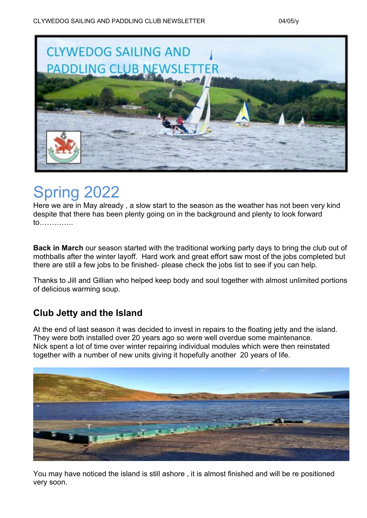

# Spring 2022

Here we are in May already , a slow start to the season as the weather has not been very kind despite that there has been plenty going on in the background and plenty to look forward to…………..

**Back in March** our season started with the traditional working party days to bring the club out of mothballs after the winter layoff. Hard work and great effort saw most of the jobs completed but there are still a few jobs to be finished- please check the jobs list to see if you can help.

Thanks to Jill and Gillian who helped keep body and soul together with almost unlimited portions of delicious warming soup.

### **Club Jetty and the Island**

At the end of last season it was decided to invest in repairs to the floating jetty and the island. They were both installed over 20 years ago so were well overdue some maintenance. Nick spent a lot of time over winter repairing individual modules which were then reinstated together with a number of new units giving it hopefully another 20 years of life.



You may have noticed the island is still ashore , it is almost finished and will be re positioned very soon.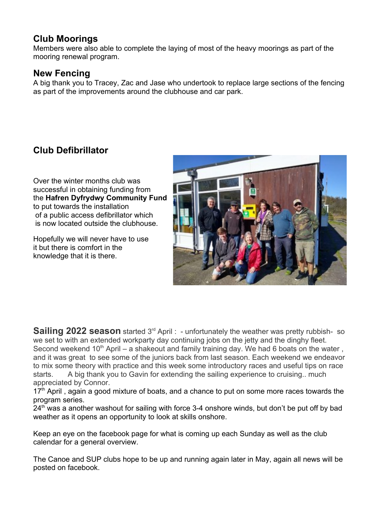#### **Club Moorings**

Members were also able to complete the laying of most of the heavy moorings as part of the mooring renewal program.

#### **New Fencing**

A big thank you to Tracey, Zac and Jase who undertook to replace large sections of the fencing as part of the improvements around the clubhouse and car park.

## **Club Defibrillator**

Over the winter months club was successful in obtaining funding from the **Hafren Dyfrydwy Community Fund** to put towards the installation of a public access defibrillator which is now located outside the clubhouse.

Hopefully we will never have to use it but there is comfort in the knowledge that it is there.



**Sailing 2022 season** started 3<sup>rd</sup> April : - unfortunately the weather was pretty rubbish- so we set to with an extended workparty day continuing jobs on the jetty and the dinghy fleet. Second weekend  $10<sup>th</sup>$  April – a shakeout and family training day. We had 6 boats on the water,

and it was great to see some of the juniors back from last season. Each weekend we endeavor to mix some theory with practice and this week some introductory races and useful tips on race starts. A big thank you to Gavin for extending the sailing experience to cruising.. much appreciated by Connor.

 $17<sup>th</sup>$  April, again a good mixture of boats, and a chance to put on some more races towards the program series.

 $24<sup>th</sup>$  was a another washout for sailing with force 3-4 onshore winds, but don't be put off by bad weather as it opens an opportunity to look at skills onshore.

Keep an eye on the facebook page for what is coming up each Sunday as well as the club calendar for a general overview.

The Canoe and SUP clubs hope to be up and running again later in May, again all news will be posted on facebook.